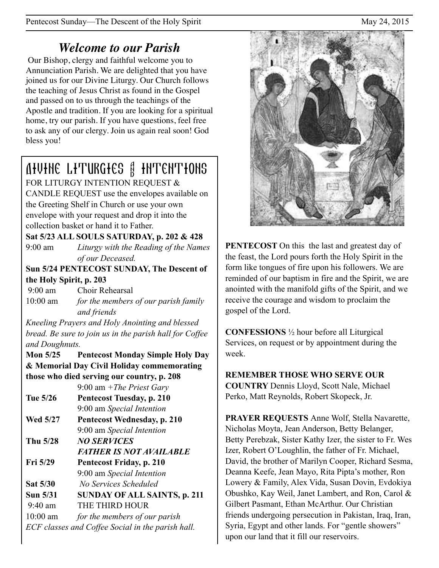# *Welcome to our Parish*

 Our Bishop, clergy and faithful welcome you to Annunciation Parish. We are delighted that you have joined us for our Divine Liturgy. Our Church follows the teaching of Jesus Christ as found in the Gospel and passed on to us through the teachings of the Apostle and tradition. If you are looking for a spiritual home, try our parish. If you have questions, feel free to ask any of our clergy. Join us again real soon! God bless you!

# Divine Liturgies & Intentions

FOR LITURGY INTENTION REQUEST & CANDLE REQUEST use the envelopes available on the Greeting Shelf in Church or use your own envelope with your request and drop it into the collection basket or hand it to Father.

## **Sat 5/23 ALL SOULS SATURDAY, p. 202 & 428**

9:00 am *Liturgy with the Reading of the Names of our Deceased.*

**Sun 5/24 PENTECOST SUNDAY, The Descent of the Holy Spirit, p. 203** 

 9:00 am Choir Rehearsal 10:00 am *for the members of our parish family and friends* 

*Kneeling Prayers and Holy Anointing and blessed bread. Be sure to join us in the parish hall for Coffee and Doughnuts.*

**Mon 5/25 Pentecost Monday Simple Holy Day & Memorial Day Civil Holiday commemorating those who died serving our country, p. 208** 

9:00 am *+The Priest Gary*

**Tue 5/26 Pentecost Tuesday, p. 210** 9:00 am *Special Intention*

**Wed 5/27 Pentecost Wednesday, p. 210**  9:00 am *Special Intention*

**Thu 5/28** *NO SERVICES* 

 *FATHER IS NOT AVAILABLE* 

**Fri 5/29 Pentecost Friday, p. 210**  9:00 am *Special Intention* **Sat 5/30** *No Services Scheduled*  **Sun 5/31 SUNDAY OF ALL SAINTS, p. 211** 

9:40 am THE THIRD HOUR

10:00 am *for the members of our parish ECF classes and Coffee Social in the parish hall.*



**PENTECOST** On this the last and greatest day of the feast, the Lord pours forth the Holy Spirit in the form like tongues of fire upon his followers. We are reminded of our baptism in fire and the Spirit, we are anointed with the manifold gifts of the Spirit, and we receive the courage and wisdom to proclaim the gospel of the Lord.

**CONFESSIONS** ½ hour before all Liturgical Services, on request or by appointment during the week.

# **REMEMBER THOSE WHO SERVE OUR**

**COUNTRY** Dennis Lloyd, Scott Nale, Michael Perko, Matt Reynolds, Robert Skopeck, Jr.

**PRAYER REQUESTS** Anne Wolf, Stella Navarette, Nicholas Moyta, Jean Anderson, Betty Belanger, Betty Perebzak, Sister Kathy Izer, the sister to Fr. Wes Izer, Robert O'Loughlin, the father of Fr. Michael, David, the brother of Marilyn Cooper, Richard Sesma, Deanna Keefe, Jean Mayo, Rita Pipta's mother, Ron Lowery & Family, Alex Vida, Susan Dovin, Evdokiya Obushko, Kay Weil, Janet Lambert, and Ron, Carol & Gilbert Pasmant, Ethan McArthur. Our Christian friends undergoing persecution in Pakistan, Iraq, Iran, Syria, Egypt and other lands. For "gentle showers" upon our land that it fill our reservoirs.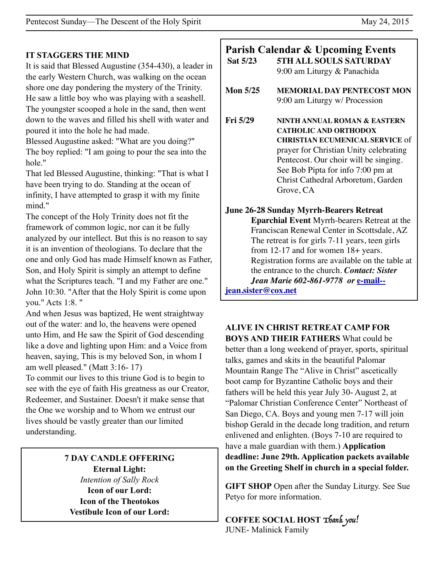#### **IT STAGGERS THE MIND**

It is said that Blessed Augustine (354-430), a leader in the early Western Church, was walking on the ocean shore one day pondering the mystery of the Trinity. He saw a little boy who was playing with a seashell. The youngster scooped a hole in the sand, then went down to the waves and filled his shell with water and poured it into the hole he had made.

Blessed Augustine asked: "What are you doing?" The boy replied: "I am going to pour the sea into the hole."

That led Blessed Augustine, thinking: "That is what I have been trying to do. Standing at the ocean of infinity, I have attempted to grasp it with my finite mind."

The concept of the Holy Trinity does not fit the framework of common logic, nor can it be fully analyzed by our intellect. But this is no reason to say it is an invention of theologians. To declare that the one and only God has made Himself known as Father, Son, and Holy Spirit is simply an attempt to define what the Scriptures teach. "I and my Father are one." John 10:30. "After that the Holy Spirit is come upon you." Acts 1:8. "

And when Jesus was baptized, He went straightway out of the water: and lo, the heavens were opened unto Him, and He saw the Spirit of God descending like a dove and lighting upon Him: and a Voice from heaven, saying, This is my beloved Son, in whom I am well pleased." (Matt 3:16- 17)

To commit our lives to this triune God is to begin to see with the eye of faith His greatness as our Creator, Redeemer, and Sustainer. Doesn't it make sense that the One we worship and to Whom we entrust our lives should be vastly greater than our limited understanding.

> **7 DAY CANDLE OFFERING Eternal Light:**  *Intention of Sally Rock*  **Icon of our Lord: Icon of the Theotokos Vestibule Icon of our Lord:**

| Sat 5/23                                        | <b>Parish Calendar &amp; Upcoming Events</b><br><b>5TH ALL SOULS SATURDAY</b><br>9:00 am Liturgy & Panachida                                                                                                                                                                      |
|-------------------------------------------------|-----------------------------------------------------------------------------------------------------------------------------------------------------------------------------------------------------------------------------------------------------------------------------------|
| <b>Mon 5/25</b>                                 | <b>MEMORIAL DAY PENTECOST MON</b><br>9:00 am Liturgy w/ Procession                                                                                                                                                                                                                |
| Fig. 5/29                                       | NINTH ANNUAL ROMAN & EASTERN<br><b>CATHOLIC AND ORTHODOX</b><br><b>CHRISTIAN ECUMENICAL SERVICE of</b><br>prayer for Christian Unity celebrating<br>Pentecost. Our choir will be singing.<br>See Bob Pipta for info 7:00 pm at<br>Christ Cathedral Arboretum, Garden<br>Grove, CA |
|                                                 | <b>June 26-28 Sunday Myrrh-Bearers Retreat</b>                                                                                                                                                                                                                                    |
|                                                 | Eparchial Event Myrrh-bearers Retreat at the                                                                                                                                                                                                                                      |
| Franciscan Renewal Center in Scottsdale, AZ     |                                                                                                                                                                                                                                                                                   |
| The retreat is for girls 7-11 years, teen girls |                                                                                                                                                                                                                                                                                   |
|                                                 | from $12-17$ and for women $18+$ years.                                                                                                                                                                                                                                           |
|                                                 | Registration forms are available on the table at                                                                                                                                                                                                                                  |
|                                                 | the entrance to the church. Contact: Sister                                                                                                                                                                                                                                       |
|                                                 | Jean Marie 602-861-9778 or e-mail--                                                                                                                                                                                                                                               |
| jean.sister@cox.net                             |                                                                                                                                                                                                                                                                                   |

**ALIVE IN CHRIST RETREAT CAMP FOR BOYS AND THEIR FATHERS** What could be better than a long weekend of prayer, sports, spiritual talks, games and skits in the beautiful Palomar Mountain Range The "Alive in Christ" ascetically boot camp for Byzantine Catholic boys and their fathers will be held this year July 30- August 2, at "Palomar Christian Conference Center" Northeast of San Diego, CA. Boys and young men 7-17 will join bishop Gerald in the decade long tradition, and return enlivened and enlighten. (Boys 7-10 are required to have a male guardian with them.) **Application deadline: June 29th. Application packets available on the Greeting Shelf in church in a special folder.** 

**GIFT SHOP** Open after the Sunday Liturgy. See Sue Petyo for more information.

**COFFEE SOCIAL HOST** Thank you! JUNE- Malinick Family